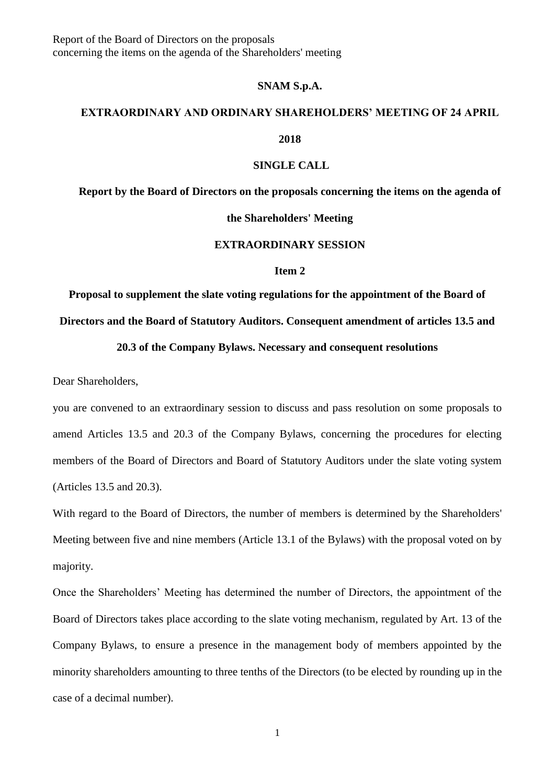#### **SNAM S.p.A.**

### **EXTRAORDINARY AND ORDINARY SHAREHOLDERS' MEETING OF 24 APRIL**

**2018**

#### **SINGLE CALL**

**Report by the Board of Directors on the proposals concerning the items on the agenda of** 

**the Shareholders' Meeting**

### **EXTRAORDINARY SESSION**

#### **Item 2**

**Proposal to supplement the slate voting regulations for the appointment of the Board of Directors and the Board of Statutory Auditors. Consequent amendment of articles 13.5 and** 

#### **20.3 of the Company Bylaws. Necessary and consequent resolutions**

Dear Shareholders,

you are convened to an extraordinary session to discuss and pass resolution on some proposals to amend Articles 13.5 and 20.3 of the Company Bylaws, concerning the procedures for electing members of the Board of Directors and Board of Statutory Auditors under the slate voting system (Articles 13.5 and 20.3).

With regard to the Board of Directors, the number of members is determined by the Shareholders' Meeting between five and nine members (Article 13.1 of the Bylaws) with the proposal voted on by majority.

Once the Shareholders' Meeting has determined the number of Directors, the appointment of the Board of Directors takes place according to the slate voting mechanism, regulated by Art. 13 of the Company Bylaws, to ensure a presence in the management body of members appointed by the minority shareholders amounting to three tenths of the Directors (to be elected by rounding up in the case of a decimal number).

1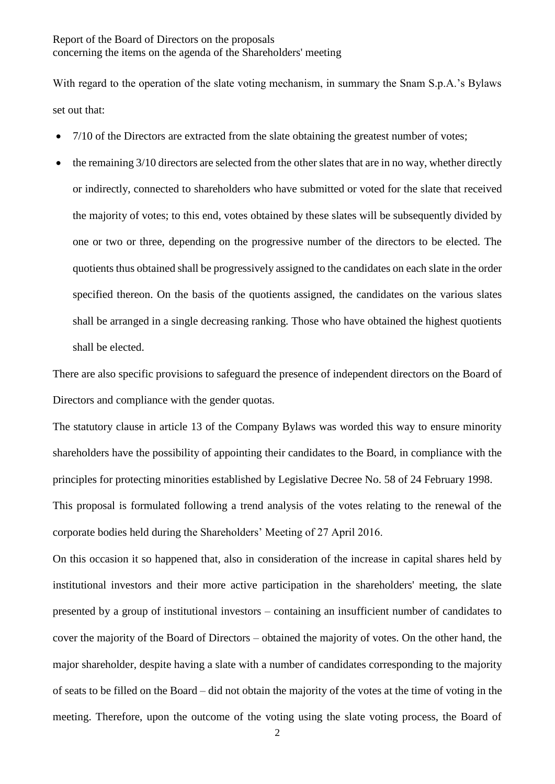With regard to the operation of the slate voting mechanism, in summary the Snam S.p.A.'s Bylaws set out that:

- 7/10 of the Directors are extracted from the slate obtaining the greatest number of votes;
- the remaining 3/10 directors are selected from the other slates that are in no way, whether directly or indirectly, connected to shareholders who have submitted or voted for the slate that received the majority of votes; to this end, votes obtained by these slates will be subsequently divided by one or two or three, depending on the progressive number of the directors to be elected. The quotients thus obtained shall be progressively assigned to the candidates on each slate in the order specified thereon. On the basis of the quotients assigned, the candidates on the various slates shall be arranged in a single decreasing ranking. Those who have obtained the highest quotients shall be elected.

There are also specific provisions to safeguard the presence of independent directors on the Board of Directors and compliance with the gender quotas.

The statutory clause in article 13 of the Company Bylaws was worded this way to ensure minority shareholders have the possibility of appointing their candidates to the Board, in compliance with the principles for protecting minorities established by Legislative Decree No. 58 of 24 February 1998. This proposal is formulated following a trend analysis of the votes relating to the renewal of the corporate bodies held during the Shareholders' Meeting of 27 April 2016.

On this occasion it so happened that, also in consideration of the increase in capital shares held by institutional investors and their more active participation in the shareholders' meeting, the slate presented by a group of institutional investors – containing an insufficient number of candidates to cover the majority of the Board of Directors – obtained the majority of votes. On the other hand, the major shareholder, despite having a slate with a number of candidates corresponding to the majority of seats to be filled on the Board – did not obtain the majority of the votes at the time of voting in the meeting. Therefore, upon the outcome of the voting using the slate voting process, the Board of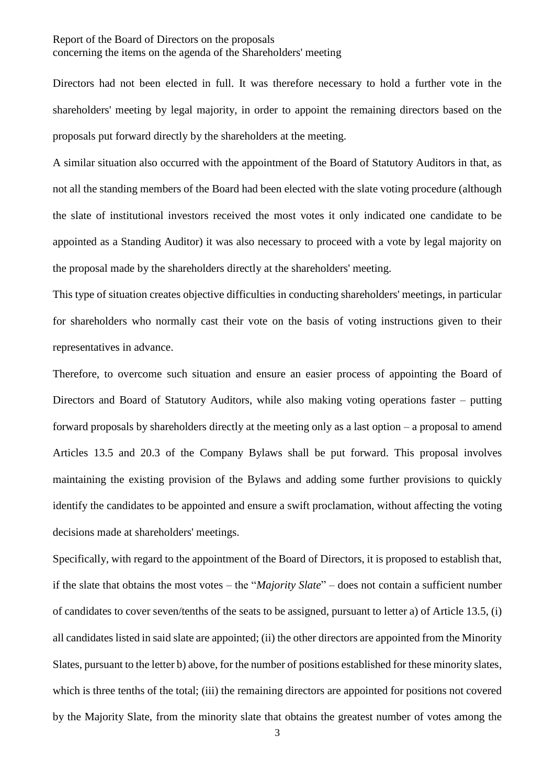Directors had not been elected in full. It was therefore necessary to hold a further vote in the shareholders' meeting by legal majority, in order to appoint the remaining directors based on the proposals put forward directly by the shareholders at the meeting.

A similar situation also occurred with the appointment of the Board of Statutory Auditors in that, as not all the standing members of the Board had been elected with the slate voting procedure (although the slate of institutional investors received the most votes it only indicated one candidate to be appointed as a Standing Auditor) it was also necessary to proceed with a vote by legal majority on the proposal made by the shareholders directly at the shareholders' meeting.

This type of situation creates objective difficulties in conducting shareholders' meetings, in particular for shareholders who normally cast their vote on the basis of voting instructions given to their representatives in advance.

Therefore, to overcome such situation and ensure an easier process of appointing the Board of Directors and Board of Statutory Auditors, while also making voting operations faster – putting forward proposals by shareholders directly at the meeting only as a last option – a proposal to amend Articles 13.5 and 20.3 of the Company Bylaws shall be put forward. This proposal involves maintaining the existing provision of the Bylaws and adding some further provisions to quickly identify the candidates to be appointed and ensure a swift proclamation, without affecting the voting decisions made at shareholders' meetings.

Specifically, with regard to the appointment of the Board of Directors, it is proposed to establish that, if the slate that obtains the most votes – the "*Majority Slate*" – does not contain a sufficient number of candidates to cover seven/tenths of the seats to be assigned, pursuant to letter a) of Article 13.5, (i) all candidates listed in said slate are appointed; (ii) the other directors are appointed from the Minority Slates, pursuant to the letter b) above, for the number of positions established for these minority slates, which is three tenths of the total; (iii) the remaining directors are appointed for positions not covered by the Majority Slate, from the minority slate that obtains the greatest number of votes among the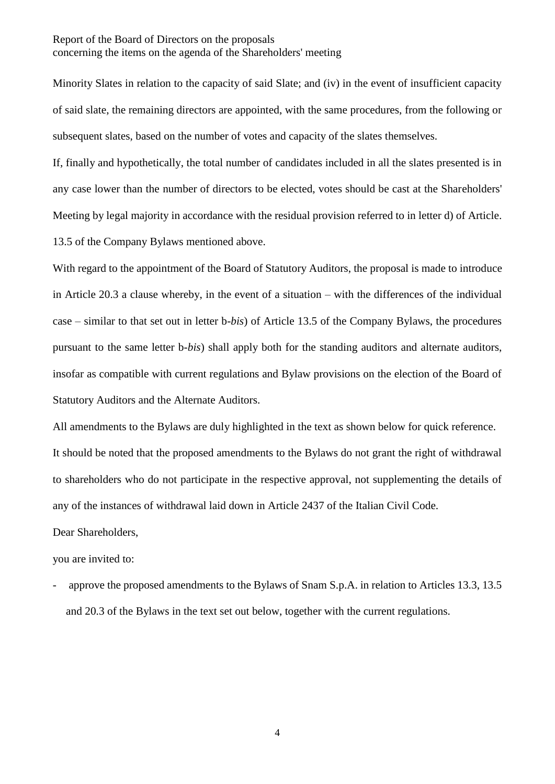Minority Slates in relation to the capacity of said Slate; and (iv) in the event of insufficient capacity of said slate, the remaining directors are appointed, with the same procedures, from the following or subsequent slates, based on the number of votes and capacity of the slates themselves.

If, finally and hypothetically, the total number of candidates included in all the slates presented is in any case lower than the number of directors to be elected, votes should be cast at the Shareholders' Meeting by legal majority in accordance with the residual provision referred to in letter d) of Article. 13.5 of the Company Bylaws mentioned above.

With regard to the appointment of the Board of Statutory Auditors, the proposal is made to introduce in Article 20.3 a clause whereby, in the event of a situation – with the differences of the individual case – similar to that set out in letter b-*bis*) of Article 13.5 of the Company Bylaws, the procedures pursuant to the same letter b-*bis*) shall apply both for the standing auditors and alternate auditors, insofar as compatible with current regulations and Bylaw provisions on the election of the Board of Statutory Auditors and the Alternate Auditors.

All amendments to the Bylaws are duly highlighted in the text as shown below for quick reference. It should be noted that the proposed amendments to the Bylaws do not grant the right of withdrawal to shareholders who do not participate in the respective approval, not supplementing the details of any of the instances of withdrawal laid down in Article 2437 of the Italian Civil Code.

Dear Shareholders,

you are invited to:

approve the proposed amendments to the Bylaws of Snam S.p.A. in relation to Articles 13.3, 13.5 and 20.3 of the Bylaws in the text set out below, together with the current regulations.

4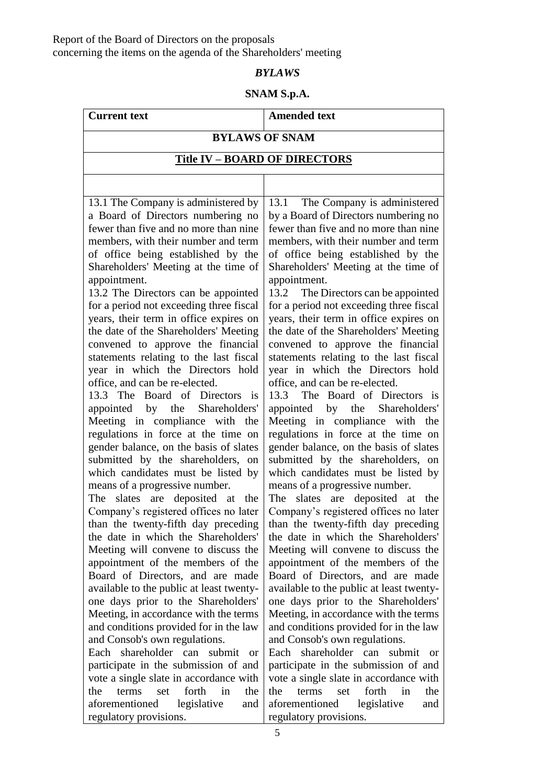# *BYLAWS*

# **SNAM S.p.A.**

# **Current text Amended text**

# **BYLAWS OF SNAM**

# **Title IV – BOARD OF DIRECTORS**

13.1 The Company is administered by a Board of Directors numbering no fewer than five and no more than nine members, with their number and term of office being established by the Shareholders' Meeting at the time of appointment.

13.2 The Directors can be appointed for a period not exceeding three fiscal years, their term in office expires on the date of the Shareholders' Meeting convened to approve the financial statements relating to the last fiscal year in which the Directors hold office, and can be re-elected.

13.3 The Board of Directors is appointed by the Shareholders' Meeting in compliance with the regulations in force at the time on gender balance, on the basis of slates submitted by the shareholders, on which candidates must be listed by means of a progressive number.

The slates are deposited at the Company's registered offices no later than the twenty-fifth day preceding the date in which the Shareholders' Meeting will convene to discuss the appointment of the members of the Board of Directors, and are made available to the public at least twentyone days prior to the Shareholders' Meeting, in accordance with the terms and conditions provided for in the law and Consob's own regulations.

Each shareholder can submit or participate in the submission of and vote a single slate in accordance with the terms set forth in the aforementioned legislative and regulatory provisions.

13.1 The Company is administered by a Board of Directors numbering no fewer than five and no more than nine members, with their number and term of office being established by the Shareholders' Meeting at the time of appointment.

13.2 The Directors can be appointed for a period not exceeding three fiscal years, their term in office expires on the date of the Shareholders' Meeting convened to approve the financial statements relating to the last fiscal year in which the Directors hold office, and can be re-elected.

13.3 The Board of Directors is appointed by the Shareholders' Meeting in compliance with the regulations in force at the time on gender balance, on the basis of slates submitted by the shareholders, on which candidates must be listed by means of a progressive number.

The slates are deposited at the Company's registered offices no later than the twenty-fifth day preceding the date in which the Shareholders' Meeting will convene to discuss the appointment of the members of the Board of Directors, and are made available to the public at least twentyone days prior to the Shareholders' Meeting, in accordance with the terms and conditions provided for in the law and Consob's own regulations.

Each shareholder can submit or participate in the submission of and vote a single slate in accordance with the terms set forth in the aforementioned legislative and regulatory provisions.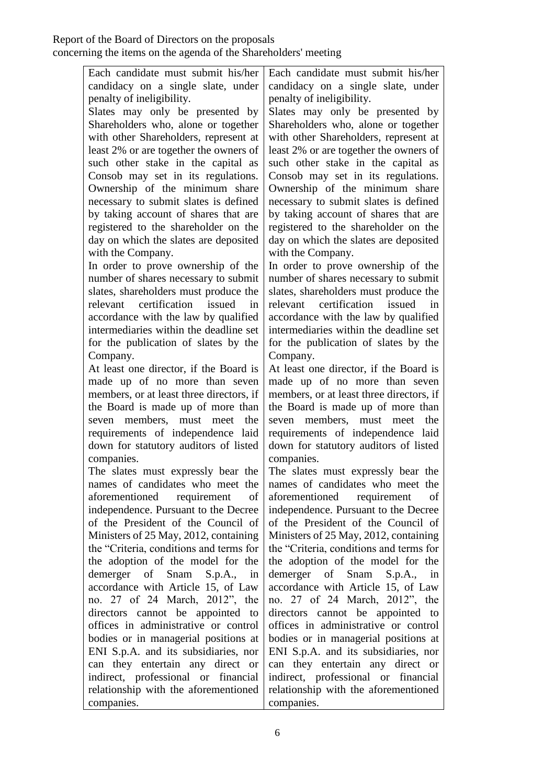Each candidate must submit his/her candidacy on a single slate, under penalty of ineligibility.

Slates may only be presented by Shareholders who, alone or together with other Shareholders, represent at least 2% or are together the owners of such other stake in the capital as Consob may set in its regulations. Ownership of the minimum share necessary to submit slates is defined by taking account of shares that are registered to the shareholder on the day on which the slates are deposited with the Company.

In order to prove ownership of the number of shares necessary to submit slates, shareholders must produce the relevant certification issued in accordance with the law by qualified intermediaries within the deadline set for the publication of slates by the Company.

At least one director, if the Board is made up of no more than seven members, or at least three directors, if the Board is made up of more than seven members, must meet the requirements of independence laid down for statutory auditors of listed companies.

The slates must expressly bear the names of candidates who meet the aforementioned requirement of independence. Pursuant to the Decree of the President of the Council of Ministers of 25 May, 2012, containing the "Criteria, conditions and terms for the adoption of the model for the demerger of Snam S.p.A., in accordance with Article 15, of Law no. 27 of 24 March, 2012", the directors cannot be appointed to offices in administrative or control bodies or in managerial positions at ENI S.p.A. and its subsidiaries, nor can they entertain any direct or indirect, professional or financial relationship with the aforementioned companies.

Each candidate must submit his/her candidacy on a single slate, under penalty of ineligibility.

Slates may only be presented by Shareholders who, alone or together with other Shareholders, represent at least 2% or are together the owners of such other stake in the capital as Consob may set in its regulations. Ownership of the minimum share necessary to submit slates is defined by taking account of shares that are registered to the shareholder on the day on which the slates are deposited with the Company.

In order to prove ownership of the number of shares necessary to submit slates, shareholders must produce the relevant certification issued in accordance with the law by qualified intermediaries within the deadline set for the publication of slates by the Company.

At least one director, if the Board is made up of no more than seven members, or at least three directors, if the Board is made up of more than seven members, must meet the requirements of independence laid down for statutory auditors of listed companies.

The slates must expressly bear the names of candidates who meet the aforementioned requirement of independence. Pursuant to the Decree of the President of the Council of Ministers of 25 May, 2012, containing the "Criteria, conditions and terms for the adoption of the model for the demerger of Snam S.p.A., in accordance with Article 15, of Law no. 27 of 24 March, 2012", the directors cannot be appointed to offices in administrative or control bodies or in managerial positions at ENI S.p.A. and its subsidiaries, nor can they entertain any direct or indirect, professional or financial relationship with the aforementioned companies.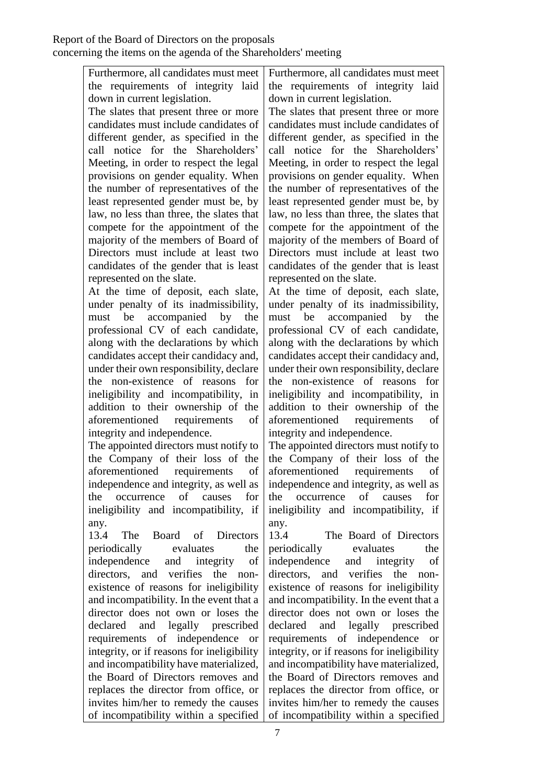Furthermore, all candidates must meet the requirements of integrity laid down in current legislation.

The slates that present three or more candidates must include candidates of different gender, as specified in the call notice for the Shareholders' Meeting, in order to respect the legal provisions on gender equality. When the number of representatives of the least represented gender must be, by law, no less than three, the slates that compete for the appointment of the majority of the members of Board of Directors must include at least two candidates of the gender that is least represented on the slate.

At the time of deposit, each slate, under penalty of its inadmissibility, must be accompanied by the professional CV of each candidate, along with the declarations by which candidates accept their candidacy and, under their own responsibility, declare the non-existence of reasons for ineligibility and incompatibility, in addition to their ownership of the aforementioned requirements of integrity and independence.

The appointed directors must notify to the Company of their loss of the aforementioned requirements of independence and integrity, as well as the occurrence of causes for ineligibility and incompatibility, if any.

13.4 The Board of Directors periodically evaluates the independence and integrity of directors, and verifies the nonexistence of reasons for ineligibility and incompatibility. In the event that a director does not own or loses the declared and legally prescribed requirements of independence or integrity, or if reasons for ineligibility and incompatibility have materialized, the Board of Directors removes and replaces the director from office, or invites him/her to remedy the causes of incompatibility within a specified

Furthermore, all candidates must meet the requirements of integrity laid down in current legislation.

The slates that present three or more candidates must include candidates of different gender, as specified in the call notice for the Shareholders' Meeting, in order to respect the legal provisions on gender equality. When the number of representatives of the least represented gender must be, by law, no less than three, the slates that compete for the appointment of the majority of the members of Board of Directors must include at least two candidates of the gender that is least represented on the slate.

At the time of deposit, each slate, under penalty of its inadmissibility, must be accompanied by the professional CV of each candidate, along with the declarations by which candidates accept their candidacy and, under their own responsibility, declare the non-existence of reasons for ineligibility and incompatibility, in addition to their ownership of the aforementioned requirements of integrity and independence.

The appointed directors must notify to the Company of their loss of the aforementioned requirements of independence and integrity, as well as the occurrence of causes for ineligibility and incompatibility, if any.

13.4 The Board of Directors periodically evaluates the independence and integrity of directors, and verifies the nonexistence of reasons for ineligibility and incompatibility. In the event that a director does not own or loses the declared and legally prescribed requirements of independence or integrity, or if reasons for ineligibility and incompatibility have materialized, the Board of Directors removes and replaces the director from office, or invites him/her to remedy the causes of incompatibility within a specified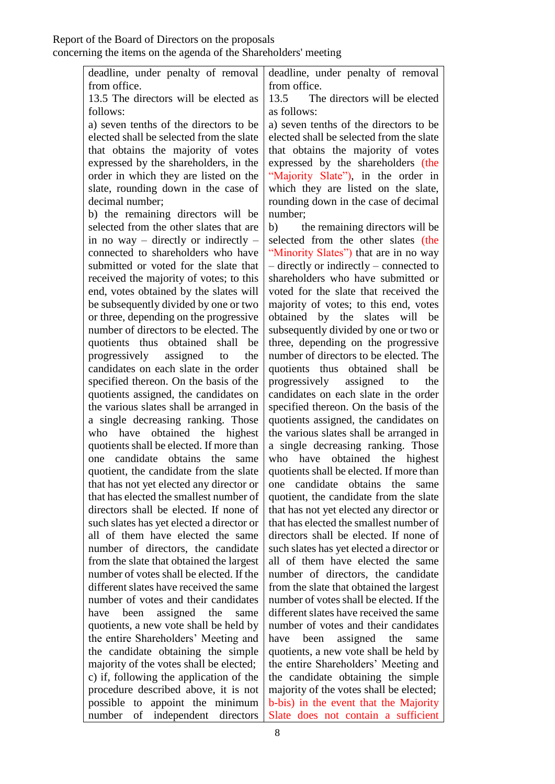|              | deadline, under penalty of removal deadline, under penalty of removal |
|--------------|-----------------------------------------------------------------------|
| from office. | from office.                                                          |
|              | 10 בנדון ניין והדירות הממן וניון והדירות והדירות הממו                 |

13.5 The directors will be elected as follows:

a) seven tenths of the directors to be elected shall be selected from the slate that obtains the majority of votes expressed by the shareholders, in the order in which they are listed on the slate, rounding down in the case of decimal number;

b) the remaining directors will be selected from the other slates that are in no way – directly or indirectly – connected to shareholders who have submitted or voted for the slate that received the majority of votes; to this end, votes obtained by the slates will be subsequently divided by one or two or three, depending on the progressive number of directors to be elected. The quotients thus obtained shall be progressively assigned to the candidates on each slate in the order specified thereon. On the basis of the quotients assigned, the candidates on the various slates shall be arranged in a single decreasing ranking. Those who have obtained the highest quotients shall be elected. If more than one candidate obtains the same quotient, the candidate from the slate that has not yet elected any director or that has elected the smallest number of directors shall be elected. If none of such slates has yet elected a director or all of them have elected the same number of directors, the candidate from the slate that obtained the largest number of votes shall be elected. If the different slates have received the same number of votes and their candidates have been assigned the same quotients, a new vote shall be held by the entire Shareholders' Meeting and the candidate obtaining the simple majority of the votes shall be elected; c) if, following the application of the procedure described above, it is not possible to appoint the minimum number of independent directors

13.5 The directors will be elected as follows:

a) seven tenths of the directors to be elected shall be selected from the slate that obtains the majority of votes expressed by the shareholders (the "Majority Slate"), in the order in which they are listed on the slate, rounding down in the case of decimal number;

b) the remaining directors will be selected from the other slates (the "Minority Slates") that are in no way – directly or indirectly – connected to shareholders who have submitted or voted for the slate that received the majority of votes; to this end, votes obtained by the slates will be subsequently divided by one or two or three, depending on the progressive number of directors to be elected. The quotients thus obtained shall be progressively assigned to the candidates on each slate in the order specified thereon. On the basis of the quotients assigned, the candidates on the various slates shall be arranged in a single decreasing ranking. Those who have obtained the highest quotients shall be elected. If more than one candidate obtains the same quotient, the candidate from the slate that has not yet elected any director or that has elected the smallest number of directors shall be elected. If none of such slates has yet elected a director or all of them have elected the same number of directors, the candidate from the slate that obtained the largest number of votes shall be elected. If the different slates have received the same number of votes and their candidates have been assigned the same quotients, a new vote shall be held by the entire Shareholders' Meeting and the candidate obtaining the simple majority of the votes shall be elected; b-bis) in the event that the Majority Slate does not contain a sufficient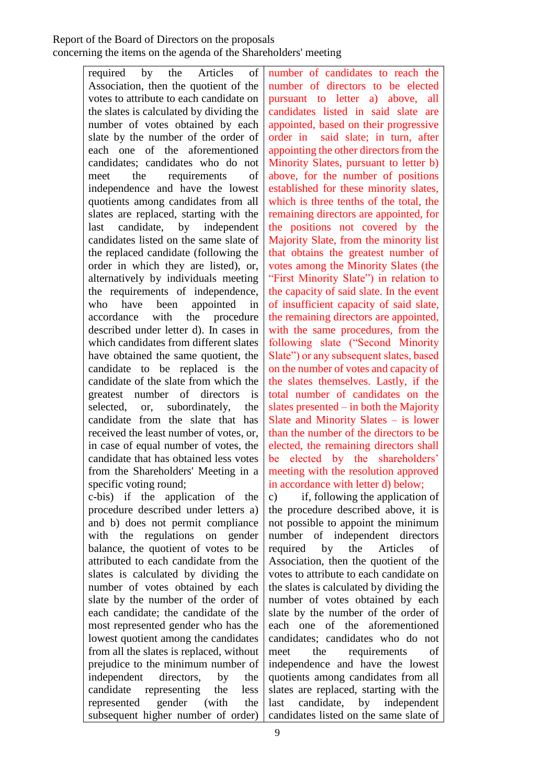required by the Articles of Association, then the quotient of the votes to attribute to each candidate on the slates is calculated by dividing the number of votes obtained by each slate by the number of the order of each one of the aforementioned candidates; candidates who do not meet the requirements of independence and have the lowest quotients among candidates from all slates are replaced, starting with the last candidate, by independent candidates listed on the same slate of the replaced candidate (following the order in which they are listed), or, alternatively by individuals meeting the requirements of independence, who have been appointed in accordance with the procedure described under letter d). In cases in which candidates from different slates have obtained the same quotient, the candidate to be replaced is the candidate of the slate from which the greatest number of directors is selected, or, subordinately, the candidate from the slate that has received the least number of votes, or, in case of equal number of votes, the candidate that has obtained less votes from the Shareholders' Meeting in a specific voting round; c-bis) if the application of the

procedure described under letters a) and b) does not permit compliance with the regulations on gender balance, the quotient of votes to be attributed to each candidate from the slates is calculated by dividing the number of votes obtained by each slate by the number of the order of each candidate; the candidate of the most represented gender who has the lowest quotient among the candidates from all the slates is replaced, without prejudice to the minimum number of independent directors, by the candidate representing the less represented gender (with the subsequent higher number of order)

number of candidates to reach the number of directors to be elected pursuant to letter a) above, all candidates listed in said slate are appointed, based on their progressive order in said slate; in turn, after appointing the other directors from the Minority Slates, pursuant to letter b) above, for the number of positions established for these minority slates, which is three tenths of the total, the remaining directors are appointed, for the positions not covered by the Majority Slate, from the minority list that obtains the greatest number of votes among the Minority Slates (the "First Minority Slate") in relation to the capacity of said slate. In the event of insufficient capacity of said slate, the remaining directors are appointed, with the same procedures, from the following slate ("Second Minority Slate") or any subsequent slates, based on the number of votes and capacity of the slates themselves. Lastly, if the total number of candidates on the slates presented – in both the Majority Slate and Minority Slates – is lower than the number of the directors to be elected, the remaining directors shall be elected by the shareholders' meeting with the resolution approved in accordance with letter d) below;

c) if, following the application of the procedure described above, it is not possible to appoint the minimum number of independent directors required by the Articles of Association, then the quotient of the votes to attribute to each candidate on the slates is calculated by dividing the number of votes obtained by each slate by the number of the order of each one of the aforementioned candidates; candidates who do not meet the requirements of independence and have the lowest quotients among candidates from all slates are replaced, starting with the last candidate, by independent candidates listed on the same slate of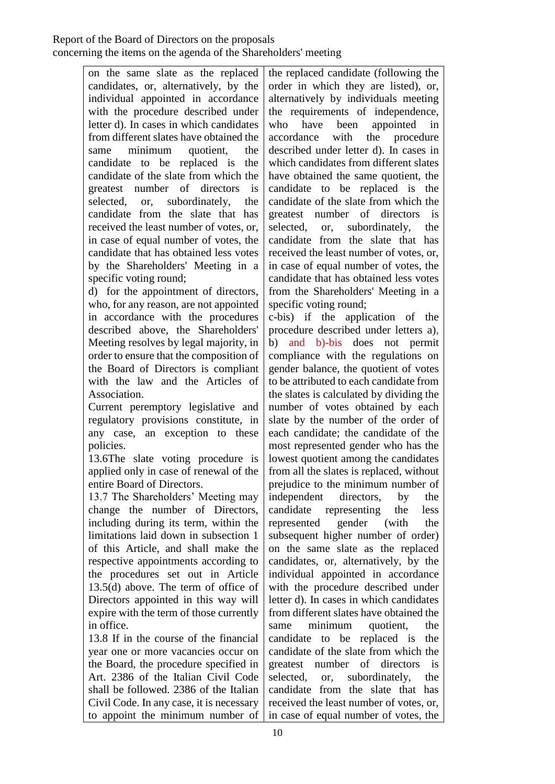on the same slate as the replaced candidates, or, alternatively, by the individual appointed in accordance with the procedure described under letter d). In cases in which candidates from different slates have obtained the same minimum quotient, the candidate to be replaced is the candidate of the slate from which the greatest number of directors is selected, or, subordinately, the candidate from the slate that has received the least number of votes, or, in case of equal number of votes, the candidate that has obtained less votes by the Shareholders' Meeting in a specific voting round;

d) for the appointment of directors, who, for any reason, are not appointed in accordance with the procedures described above, the Shareholders' Meeting resolves by legal majority, in order to ensure that the composition of the Board of Directors is compliant with the law and the Articles of Association.

Current peremptory legislative and regulatory provisions constitute, in any case, an exception to these policies.

13.6The slate voting procedure is applied only in case of renewal of the entire Board of Directors.

13.7 The Shareholders' Meeting may change the number of Directors, including during its term, within the limitations laid down in subsection 1 of this Article, and shall make the respective appointments according to the procedures set out in Article 13.5(d) above. The term of office of Directors appointed in this way will expire with the term of those currently in office.

13.8 If in the course of the financial year one or more vacancies occur on the Board, the procedure specified in Art. 2386 of the Italian Civil Code shall be followed. 2386 of the Italian Civil Code. In any case, it is necessary to appoint the minimum number of

the replaced candidate (following the order in which they are listed), or, alternatively by individuals meeting the requirements of independence, who have been appointed in accordance with the procedure described under letter d). In cases in which candidates from different slates have obtained the same quotient, the candidate to be replaced is the candidate of the slate from which the greatest number of directors is selected, or, subordinately, the candidate from the slate that has received the least number of votes, or, in case of equal number of votes, the candidate that has obtained less votes from the Shareholders' Meeting in a specific voting round;

c-bis) if the application of the procedure described under letters a), b) and b)-bis does not permit compliance with the regulations on gender balance, the quotient of votes to be attributed to each candidate from the slates is calculated by dividing the number of votes obtained by each slate by the number of the order of each candidate; the candidate of the most represented gender who has the lowest quotient among the candidates from all the slates is replaced, without prejudice to the minimum number of independent directors, by the candidate representing the less represented gender (with the subsequent higher number of order) on the same slate as the replaced candidates, or, alternatively, by the individual appointed in accordance with the procedure described under letter d). In cases in which candidates from different slates have obtained the same minimum quotient, the candidate to be replaced is the candidate of the slate from which the greatest number of directors is selected, or, subordinately, the candidate from the slate that has received the least number of votes, or, in case of equal number of votes, the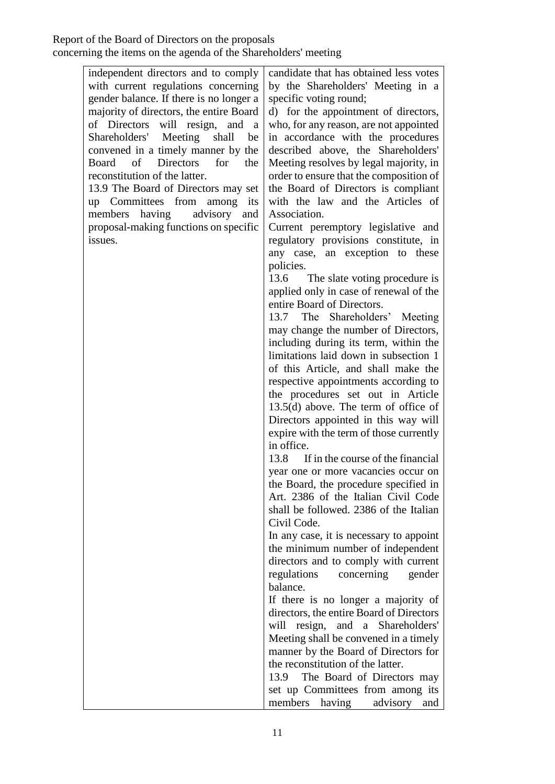| independent directors and to comply                 | candidate that has obtained less votes    |
|-----------------------------------------------------|-------------------------------------------|
| with current regulations concerning                 | by the Shareholders' Meeting in a         |
| gender balance. If there is no longer a             | specific voting round;                    |
| majority of directors, the entire Board             | d) for the appointment of directors,      |
| of Directors<br>will resign,<br>and<br><sub>a</sub> | who, for any reason, are not appointed    |
| Shareholders' Meeting<br>shall<br>be                | in accordance with the procedures         |
| convened in a timely manner by the                  | described above, the Shareholders'        |
| <b>Directors</b><br>of<br>for<br>Board<br>the       | Meeting resolves by legal majority, in    |
| reconstitution of the latter.                       | order to ensure that the composition of   |
| 13.9 The Board of Directors may set                 | the Board of Directors is compliant       |
| up Committees from<br>among<br>its                  | with the law and the Articles of          |
| advisory<br>members<br>having<br>and                | Association.                              |
| proposal-making functions on specific               | Current peremptory legislative and        |
| issues.                                             | regulatory provisions constitute, in      |
|                                                     | any case, an exception to these           |
|                                                     | policies.                                 |
|                                                     | 13.6 The slate voting procedure is        |
|                                                     | applied only in case of renewal of the    |
|                                                     | entire Board of Directors.                |
|                                                     | 13.7 The Shareholders' Meeting            |
|                                                     | may change the number of Directors,       |
|                                                     | including during its term, within the     |
|                                                     | limitations laid down in subsection 1     |
|                                                     | of this Article, and shall make the       |
|                                                     | respective appointments according to      |
|                                                     | the procedures set out in Article         |
|                                                     | $13.5(d)$ above. The term of office of    |
|                                                     | Directors appointed in this way will      |
|                                                     | expire with the term of those currently   |
|                                                     | in office.                                |
|                                                     | 13.8<br>If in the course of the financial |
|                                                     | year one or more vacancies occur on       |
|                                                     | the Board, the procedure specified in     |
|                                                     | Art. 2386 of the Italian Civil Code       |
|                                                     | shall be followed. 2386 of the Italian    |
|                                                     | Civil Code.                               |
|                                                     | In any case, it is necessary to appoint   |
|                                                     | the minimum number of independent         |
|                                                     | directors and to comply with current      |
|                                                     | regulations<br>concerning<br>gender       |
|                                                     | balance.                                  |
|                                                     | If there is no longer a majority of       |
|                                                     | directors, the entire Board of Directors  |
|                                                     | will resign, and a Shareholders'          |
|                                                     | Meeting shall be convened in a timely     |
|                                                     | manner by the Board of Directors for      |
|                                                     | the reconstitution of the latter.         |
|                                                     | The Board of Directors may<br>13.9        |
|                                                     | set up Committees from among its          |
|                                                     | members having<br>advisory<br>and         |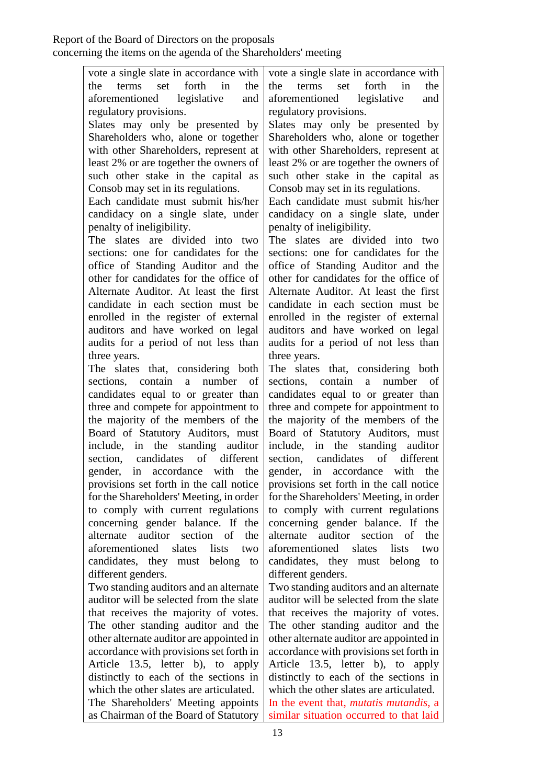13 vote a single slate in accordance with the terms set forth in the aforementioned legislative and regulatory provisions. Slates may only be presented by Shareholders who, alone or together with other Shareholders, represent at least 2% or are together the owners of such other stake in the capital as Consob may set in its regulations. Each candidate must submit his/her candidacy on a single slate, under penalty of ineligibility. The slates are divided into two sections: one for candidates for the office of Standing Auditor and the other for candidates for the office of Alternate Auditor. At least the first candidate in each section must be enrolled in the register of external auditors and have worked on legal audits for a period of not less than three years. The slates that, considering both sections, contain a number of candidates equal to or greater than three and compete for appointment to the majority of the members of the Board of Statutory Auditors, must include, in the standing auditor section, candidates of different gender, in accordance with the provisions set forth in the call notice for the Shareholders' Meeting, in order to comply with current regulations concerning gender balance. If the alternate auditor section of the aforementioned slates lists two candidates, they must belong to different genders. Two standing auditors and an alternate auditor will be selected from the slate that receives the majority of votes. The other standing auditor and the other alternate auditor are appointed in accordance with provisions set forth in Article 13.5, letter b), to apply distinctly to each of the sections in which the other slates are articulated. The Shareholders' Meeting appoints as Chairman of the Board of Statutory vote a single slate in accordance with the terms set forth in the aforementioned legislative and regulatory provisions. Slates may only be presented by Shareholders who, alone or together with other Shareholders, represent at least 2% or are together the owners of such other stake in the capital as Consob may set in its regulations. Each candidate must submit his/her candidacy on a single slate, under penalty of ineligibility. The slates are divided into two sections: one for candidates for the office of Standing Auditor and the other for candidates for the office of Alternate Auditor. At least the first candidate in each section must be enrolled in the register of external auditors and have worked on legal audits for a period of not less than three years. The slates that, considering both sections, contain a number of candidates equal to or greater than three and compete for appointment to the majority of the members of the Board of Statutory Auditors, must include, in the standing auditor section, candidates of different gender, in accordance with the provisions set forth in the call notice for the Shareholders' Meeting, in order to comply with current regulations concerning gender balance. If the alternate auditor section of the aforementioned slates lists two candidates, they must belong to different genders. Two standing auditors and an alternate auditor will be selected from the slate that receives the majority of votes. The other standing auditor and the other alternate auditor are appointed in accordance with provisions set forth in Article 13.5, letter b), to apply distinctly to each of the sections in which the other slates are articulated. In the event that, *mutatis mutandis*, a similar situation occurred to that laid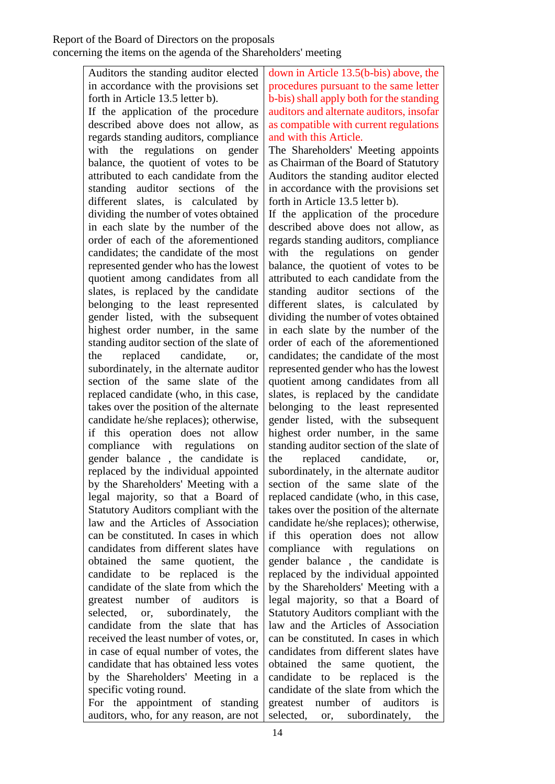Auditors the standing auditor elected in accordance with the provisions set forth in Article 13.5 letter b). If the application of the procedure described above does not allow, as regards standing auditors, compliance with the regulations on gender balance, the quotient of votes to be attributed to each candidate from the standing auditor sections of the different slates, is calculated by dividing the number of votes obtained in each slate by the number of the order of each of the aforementioned candidates; the candidate of the most represented gender who has the lowest quotient among candidates from all slates, is replaced by the candidate belonging to the least represented gender listed, with the subsequent highest order number, in the same standing auditor section of the slate of the replaced candidate, or, subordinately, in the alternate auditor section of the same slate of the replaced candidate (who, in this case, takes over the position of the alternate candidate he/she replaces); otherwise, if this operation does not allow compliance with regulations on gender balance , the candidate is replaced by the individual appointed by the Shareholders' Meeting with a legal majority, so that a Board of Statutory Auditors compliant with the law and the Articles of Association can be constituted. In cases in which candidates from different slates have obtained the same quotient, the candidate to be replaced is the candidate of the slate from which the greatest number of auditors is selected, or, subordinately, the candidate from the slate that has received the least number of votes, or, in case of equal number of votes, the candidate that has obtained less votes by the Shareholders' Meeting in a specific voting round.

For the appointment of standing auditors, who, for any reason, are not

down in Article 13.5(b-bis) above, the procedures pursuant to the same letter b-bis) shall apply both for the standing auditors and alternate auditors, insofar as compatible with current regulations and with this Article.

The Shareholders' Meeting appoints as Chairman of the Board of Statutory Auditors the standing auditor elected in accordance with the provisions set forth in Article 13.5 letter b).

If the application of the procedure described above does not allow, as regards standing auditors, compliance with the regulations on gender balance, the quotient of votes to be attributed to each candidate from the standing auditor sections of the different slates, is calculated by dividing the number of votes obtained in each slate by the number of the order of each of the aforementioned candidates; the candidate of the most represented gender who has the lowest quotient among candidates from all slates, is replaced by the candidate belonging to the least represented gender listed, with the subsequent highest order number, in the same standing auditor section of the slate of the replaced candidate, or, subordinately, in the alternate auditor section of the same slate of the replaced candidate (who, in this case, takes over the position of the alternate candidate he/she replaces); otherwise, if this operation does not allow compliance with regulations on gender balance , the candidate is replaced by the individual appointed by the Shareholders' Meeting with a legal majority, so that a Board of Statutory Auditors compliant with the law and the Articles of Association can be constituted. In cases in which candidates from different slates have obtained the same quotient, the candidate to be replaced is the candidate of the slate from which the greatest number of auditors is selected, or, subordinately, the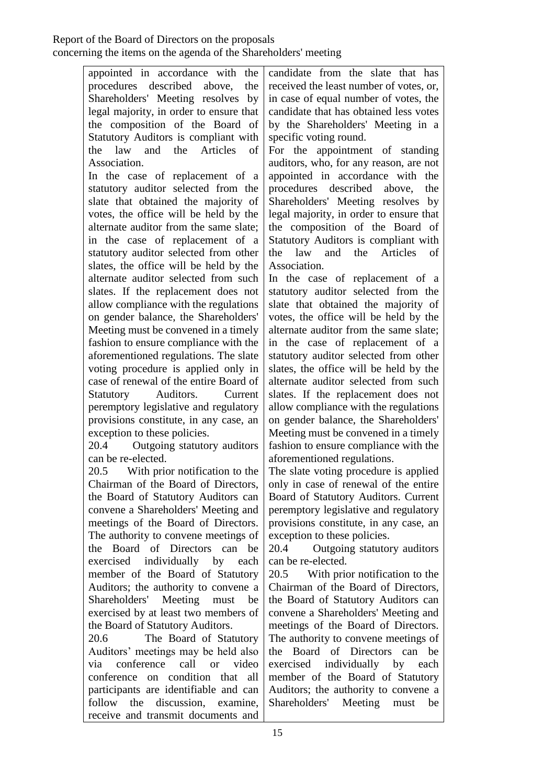appointed in accordance with the procedures described above, the Shareholders' Meeting resolves by legal majority, in order to ensure that the composition of the Board of Statutory Auditors is compliant with the law and the Articles of Association.

In the case of replacement of a statutory auditor selected from the slate that obtained the majority of votes, the office will be held by the alternate auditor from the same slate; in the case of replacement of a statutory auditor selected from other slates, the office will be held by the alternate auditor selected from such slates. If the replacement does not allow compliance with the regulations on gender balance, the Shareholders' Meeting must be convened in a timely fashion to ensure compliance with the aforementioned regulations. The slate voting procedure is applied only in case of renewal of the entire Board of Statutory Auditors. Current peremptory legislative and regulatory provisions constitute, in any case, an exception to these policies.

20.4 Outgoing statutory auditors can be re-elected.

20.5 With prior notification to the Chairman of the Board of Directors, the Board of Statutory Auditors can convene a Shareholders' Meeting and meetings of the Board of Directors. The authority to convene meetings of the Board of Directors can be exercised individually by each member of the Board of Statutory Auditors; the authority to convene a Shareholders' Meeting must be exercised by at least two members of the Board of Statutory Auditors.

20.6 The Board of Statutory Auditors' meetings may be held also via conference call or video conference on condition that all participants are identifiable and can follow the discussion, examine, receive and transmit documents and

candidate from the slate that has received the least number of votes, or, in case of equal number of votes, the candidate that has obtained less votes by the Shareholders' Meeting in a specific voting round.

For the appointment of standing auditors, who, for any reason, are not appointed in accordance with the procedures described above, the Shareholders' Meeting resolves by legal majority, in order to ensure that the composition of the Board of Statutory Auditors is compliant with the law and the Articles of Association.

In the case of replacement of a statutory auditor selected from the slate that obtained the majority of votes, the office will be held by the alternate auditor from the same slate; in the case of replacement of a statutory auditor selected from other slates, the office will be held by the alternate auditor selected from such slates. If the replacement does not allow compliance with the regulations on gender balance, the Shareholders' Meeting must be convened in a timely fashion to ensure compliance with the aforementioned regulations.

The slate voting procedure is applied only in case of renewal of the entire Board of Statutory Auditors. Current peremptory legislative and regulatory provisions constitute, in any case, an exception to these policies.

20.4 Outgoing statutory auditors can be re-elected.

20.5 With prior notification to the Chairman of the Board of Directors, the Board of Statutory Auditors can convene a Shareholders' Meeting and meetings of the Board of Directors. The authority to convene meetings of the Board of Directors can be exercised individually by each member of the Board of Statutory Auditors; the authority to convene a Shareholders' Meeting must be